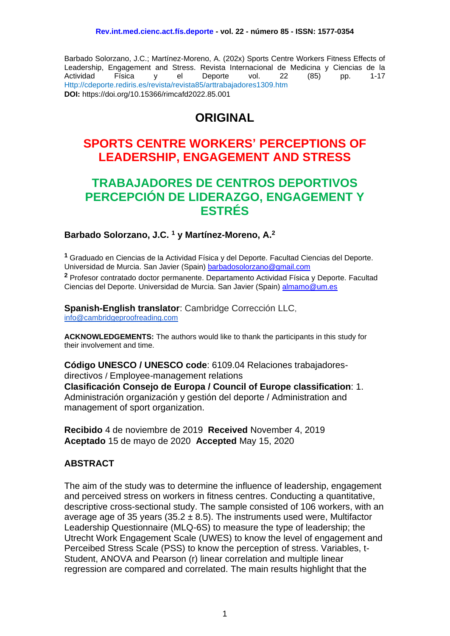Barbado Solorzano, J.C.; Martínez-Moreno, A. (202x) Sports Centre Workers Fitness Effects of Leadership, Engagement and Stress. Revista Internacional de Medicina y Ciencias de la Actividad Física y el Deporte vol. 22 (85) pp. 1-17 Http://cdeporte.rediris.es/revista/revista85/arttrabajadores1309.htm **DOI:** https://doi.org/10.15366/rimcafd2022.85.001

# **ORIGINAL**

## **SPORTS CENTRE WORKERS' PERCEPTIONS OF LEADERSHIP, ENGAGEMENT AND STRESS**

## **TRABAJADORES DE CENTROS DEPORTIVOS PERCEPCIÓN DE LIDERAZGO, ENGAGEMENT Y ESTRÉS**

#### **Barbado Solorzano, J.C. <sup>1</sup> y Martínez-Moreno, A.<sup>2</sup>**

**<sup>1</sup>** Graduado en Ciencias de la Actividad Física y del Deporte. Facultad Ciencias del Deporte. Universidad de Murcia. San Javier (Spain) [barbadosolorzano@gmail.com](mailto:barbadosolorzano@gmail.com) **<sup>2</sup>** Profesor contratado doctor permanente. Departamento Actividad Física y Deporte. Facultad Ciencias del Deporte. Universidad de Murcia. San Javier (Spain) [almamo@um.es](mailto:almamo@um.es)

**Spanish-English translator**: Cambridge Corrección LLC, [info@cambridgeproofreading.com](mailto:info@cambridgeproofreading.com)

**ACKNOWLEDGEMENTS:** The authors would like to thank the participants in this study for their involvement and time.

**Código UNESCO / UNESCO code**: 6109.04 Relaciones trabajadoresdirectivos / Employee-management relations **Clasificación Consejo de Europa / Council of Europe classification**: 1. Administración organización y gestión del deporte / Administration and management of sport organization.

**Recibido** 4 de noviembre de 2019 **Received** November 4, 2019 **Aceptado** 15 de mayo de 2020 **Accepted** May 15, 2020

#### **ABSTRACT**

The aim of the study was to determine the influence of leadership, engagement and perceived stress on workers in fitness centres. Conducting a quantitative, descriptive cross-sectional study. The sample consisted of 106 workers, with an average age of 35 years (35.2  $\pm$  8.5). The instruments used were, Multifactor Leadership Questionnaire (MLQ-6S) to measure the type of leadership; the Utrecht Work Engagement Scale (UWES) to know the level of engagement and Perceibed Stress Scale (PSS) to know the perception of stress. Variables, t-Student, ANOVA and Pearson (r) linear correlation and multiple linear regression are compared and correlated. The main results highlight that the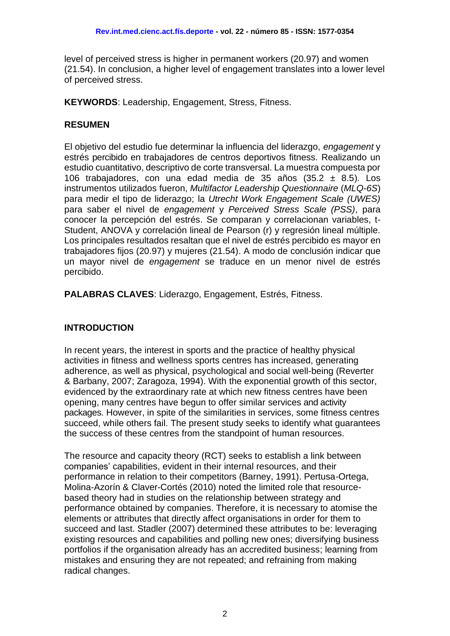level of perceived stress is higher in permanent workers (20.97) and women (21.54). In conclusion, a higher level of engagement translates into a lower level of perceived stress.

**KEYWORDS**: Leadership, Engagement, Stress, Fitness.

### **RESUMEN**

El objetivo del estudio fue determinar la influencia del liderazgo, *engagement* y estrés percibido en trabajadores de centros deportivos fitness. Realizando un estudio cuantitativo, descriptivo de corte transversal. La muestra compuesta por 106 trabajadores, con una edad media de 35 años (35.2 ± 8.5). Los instrumentos utilizados fueron, *Multifactor Leadership Questionnaire* (*MLQ-6S*) para medir el tipo de liderazgo; la *Utrecht Work Engagement Scale (UWES)* para saber el nivel de *engagement* y *Perceived Stress Scale (PSS)*, para conocer la percepción del estrés. Se comparan y correlacionan variables, t-Student, ANOVA y correlación lineal de Pearson (r) y regresión lineal múltiple. Los principales resultados resaltan que el nivel de estrés percibido es mayor en trabajadores fijos (20.97) y mujeres (21.54). A modo de conclusión indicar que un mayor nivel de *engagement* se traduce en un menor nivel de estrés percibido.

**PALABRAS CLAVES**: Liderazgo, Engagement, Estrés, Fitness.

## **INTRODUCTION**

In recent years, the interest in sports and the practice of healthy physical activities in fitness and wellness sports centres has increased, generating adherence, as well as physical, psychological and social well-being (Reverter & Barbany, 2007; Zaragoza, 1994). With the exponential growth of this sector, evidenced by the extraordinary rate at which new fitness centres have been opening, many centres have begun to offer similar services and activity packages. However, in spite of the similarities in services, some fitness centres succeed, while others fail. The present study seeks to identify what guarantees the success of these centres from the standpoint of human resources.

The resource and capacity theory (RCT) seeks to establish a link between companies' capabilities, evident in their internal resources, and their performance in relation to their competitors (Barney, 1991). Pertusa-Ortega, Molina-Azorín & Claver-Cortés (2010) noted the limited role that resourcebased theory had in studies on the relationship between strategy and performance obtained by companies. Therefore, it is necessary to atomise the elements or attributes that directly affect organisations in order for them to succeed and last. Stadler (2007) determined these attributes to be: leveraging existing resources and capabilities and polling new ones; diversifying business portfolios if the organisation already has an accredited business; learning from mistakes and ensuring they are not repeated; and refraining from making radical changes.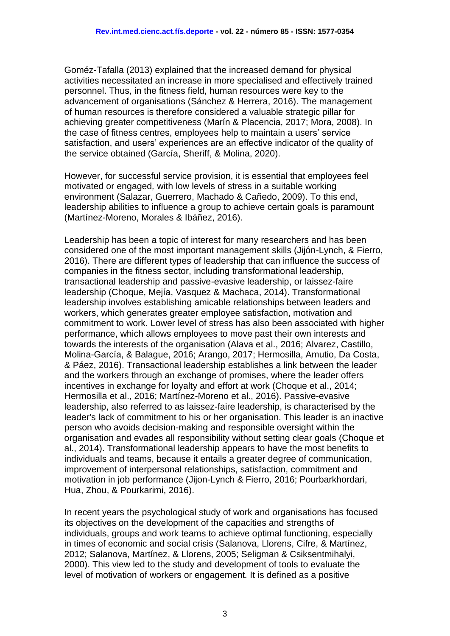Goméz-Tafalla (2013) explained that the increased demand for physical activities necessitated an increase in more specialised and effectively trained personnel. Thus, in the fitness field, human resources were key to the advancement of organisations (Sánchez & Herrera, 2016). The management of human resources is therefore considered a valuable strategic pillar for achieving greater competitiveness (Marín & Placencia, 2017; Mora, 2008). In the case of fitness centres, employees help to maintain a users' service satisfaction, and users' experiences are an effective indicator of the quality of the service obtained (García, Sheriff, & Molina, 2020).

However, for successful service provision, it is essential that employees feel motivated or engaged*,* with low levels of stress in a suitable working environment (Salazar, Guerrero, Machado & Cañedo, 2009). To this end, leadership abilities to influence a group to achieve certain goals is paramount (Martínez-Moreno, Morales & Ibáñez, 2016).

Leadership has been a topic of interest for many researchers and has been considered one of the most important management skills (Jijón-Lynch, & Fierro, 2016). There are different types of leadership that can influence the success of companies in the fitness sector, including transformational leadership, transactional leadership and passive-evasive leadership, or laissez-faire leadership (Choque, Mejía, Vasquez & Machaca, 2014). Transformational leadership involves establishing amicable relationships between leaders and workers, which generates greater employee satisfaction, motivation and commitment to work. Lower level of stress has also been associated with higher performance, which allows employees to move past their own interests and towards the interests of the organisation (Alava et al., 2016; Alvarez, Castillo, Molina-García, & Balague, 2016; Arango, 2017; Hermosilla, Amutio, Da Costa, & Páez, 2016). Transactional leadership establishes a link between the leader and the workers through an exchange of promises, where the leader offers incentives in exchange for loyalty and effort at work (Choque et al., 2014; Hermosilla et al., 2016; Martínez-Moreno et al., 2016). Passive-evasive leadership, also referred to as laissez-faire leadership, is characterised by the leader's lack of commitment to his or her organisation. This leader is an inactive person who avoids decision-making and responsible oversight within the organisation and evades all responsibility without setting clear goals (Choque et al., 2014). Transformational leadership appears to have the most benefits to individuals and teams, because it entails a greater degree of communication, improvement of interpersonal relationships, satisfaction, commitment and motivation in job performance (Jijon-Lynch & Fierro, 2016; Pourbarkhordari, Hua, Zhou, & Pourkarimi, 2016).

In recent years the psychological study of work and organisations has focused its objectives on the development of the capacities and strengths of individuals, groups and work teams to achieve optimal functioning, especially in times of economic and social crisis (Salanova, Llorens, Cifre, & Martínez, 2012; Salanova, Martínez, & Llorens, 2005; Seligman & Csiksentmihalyi, 2000). This view led to the study and development of tools to evaluate the level of motivation of workers or engagement*.* It is defined as a positive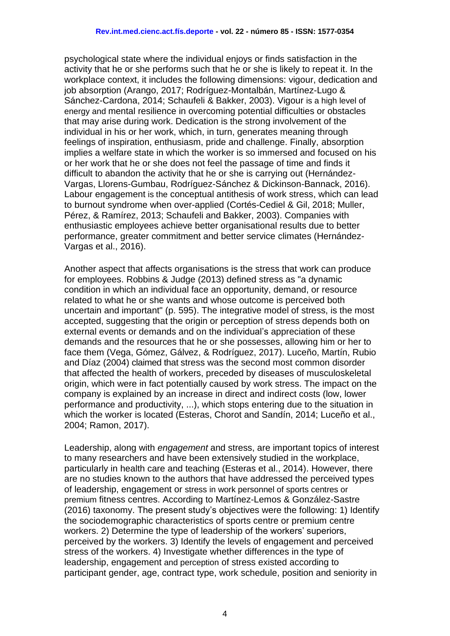psychological state where the individual enjoys or finds satisfaction in the activity that he or she performs such that he or she is likely to repeat it. In the workplace context, it includes the following dimensions: vigour, dedication and job absorption (Arango, 2017; Rodríguez-Montalbán, Martínez-Lugo & Sánchez-Cardona, 2014; Schaufeli & Bakker, 2003). Vigour is a high level of energy and mental resilience in overcoming potential difficulties or obstacles that may arise during work. Dedication is the strong involvement of the individual in his or her work, which, in turn, generates meaning through feelings of inspiration, enthusiasm, pride and challenge. Finally, absorption implies a welfare state in which the worker is so immersed and focused on his or her work that he or she does not feel the passage of time and finds it difficult to abandon the activity that he or she is carrying out (Hernández-Vargas, Llorens-Gumbau, Rodríguez-Sánchez & Dickinson-Bannack, 2016). Labour engagement is the conceptual antithesis of work stress, which can lead to burnout syndrome when over-applied (Cortés-Cediel & Gil, 2018; Muller, Pérez, & Ramírez, 2013; Schaufeli and Bakker, 2003). Companies with enthusiastic employees achieve better organisational results due to better performance, greater commitment and better service climates (Hernández-Vargas et al., 2016).

Another aspect that affects organisations is the stress that work can produce for employees. Robbins & Judge (2013) defined stress as "a dynamic condition in which an individual face an opportunity, demand, or resource related to what he or she wants and whose outcome is perceived both uncertain and important" (p. 595). The integrative model of stress, is the most accepted, suggesting that the origin or perception of stress depends both on external events or demands and on the individual's appreciation of these demands and the resources that he or she possesses, allowing him or her to face them (Vega, Gómez, Gálvez, & Rodríguez, 2017). Luceño, Martín, Rubio and Díaz (2004) claimed that stress was the second most common disorder that affected the health of workers, preceded by diseases of musculoskeletal origin, which were in fact potentially caused by work stress. The impact on the company is explained by an increase in direct and indirect costs (low, lower performance and productivity, ...), which stops entering due to the situation in which the worker is located (Esteras, Chorot and Sandín, 2014; Luceño et al., 2004; Ramon, 2017).

Leadership, along with *engagement* and stress, are important topics of interest to many researchers and have been extensively studied in the workplace, particularly in health care and teaching (Esteras et al., 2014). However, there are no studies known to the authors that have addressed the perceived types of leadership, engagement or stress in work personnel of sports centres or premium fitness centres. According to Martínez-Lemos & González-Sastre (2016) taxonomy. The present study's objectives were the following: 1) Identify the sociodemographic characteristics of sports centre or premium centre workers. 2) Determine the type of leadership of the workers' superiors, perceived by the workers. 3) Identify the levels of engagement and perceived stress of the workers. 4) Investigate whether differences in the type of leadership, engagement and perception of stress existed according to participant gender, age, contract type, work schedule, position and seniority in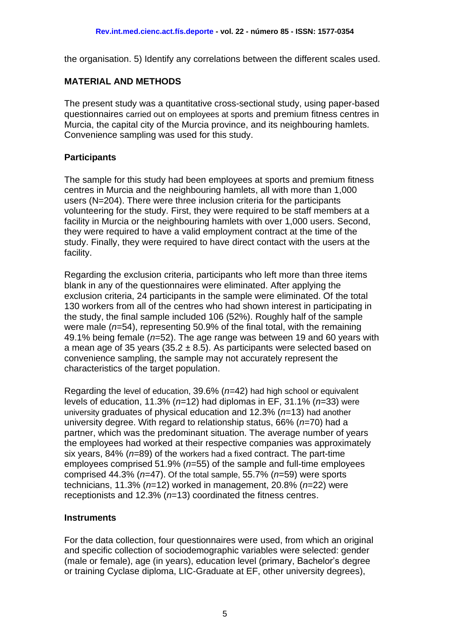the organisation. 5) Identify any correlations between the different scales used.

#### **MATERIAL AND METHODS**

The present study was a quantitative cross-sectional study, using paper-based questionnaires carried out on employees at sports and premium fitness centres in Murcia, the capital city of the Murcia province, and its neighbouring hamlets. Convenience sampling was used for this study.

### **Participants**

The sample for this study had been employees at sports and premium fitness centres in Murcia and the neighbouring hamlets, all with more than 1,000 users (N=204). There were three inclusion criteria for the participants volunteering for the study. First, they were required to be staff members at a facility in Murcia or the neighbouring hamlets with over 1,000 users. Second, they were required to have a valid employment contract at the time of the study. Finally, they were required to have direct contact with the users at the facility.

Regarding the exclusion criteria, participants who left more than three items blank in any of the questionnaires were eliminated. After applying the exclusion criteria, 24 participants in the sample were eliminated. Of the total 130 workers from all of the centres who had shown interest in participating in the study, the final sample included 106 (52%). Roughly half of the sample were male (*n*=54), representing 50.9% of the final total, with the remaining 49.1% being female (*n*=52). The age range was between 19 and 60 years with a mean age of 35 years (35.2  $\pm$  8.5). As participants were selected based on convenience sampling, the sample may not accurately represent the characteristics of the target population.

Regarding the level of education, 39.6% (*n=*42) had high school or equivalent levels of education, 11.3% (*n*=12) had diplomas in EF, 31.1% (*n*=33) were university graduates of physical education and 12.3% (*n*=13) had another university degree. With regard to relationship status, 66% (*n*=70) had a partner, which was the predominant situation. The average number of years the employees had worked at their respective companies was approximately six years, 84% (*n*=89) of the workers had a fixed contract. The part-time employees comprised 51.9% (*n*=55) of the sample and full-time employees comprised 44.3% (*n*=47). Of the total sample, 55.7% (*n*=59) were sports technicians, 11.3% (*n*=12) worked in management, 20.8% (*n*=22) were receptionists and 12.3% (*n*=13) coordinated the fitness centres.

#### **Instruments**

For the data collection, four questionnaires were used, from which an original and specific collection of sociodemographic variables were selected: gender (male or female), age (in years), education level (primary, Bachelor's degree or training Cyclase diploma, LIC-Graduate at EF, other university degrees),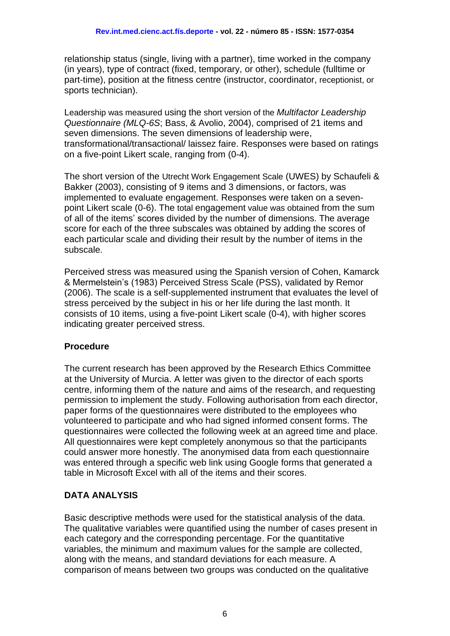relationship status (single, living with a partner), time worked in the company (in years), type of contract (fixed, temporary, or other), schedule (fulltime or part-time), position at the fitness centre (instructor, coordinator, receptionist, or sports technician).

Leadership was measured using the short version of the *Multifactor Leadership Questionnaire (MLQ-6S*; Bass, & Avolio, 2004), comprised of 21 items and seven dimensions. The seven dimensions of leadership were, transformational/transactional/ laissez faire. Responses were based on ratings on a five-point Likert scale, ranging from (0-4).

The short version of the Utrecht Work Engagement Scale (UWES) by Schaufeli & Bakker (2003), consisting of 9 items and 3 dimensions, or factors, was implemented to evaluate engagement. Responses were taken on a sevenpoint Likert scale (0-6). The total engagement value was obtained from the sum of all of the items' scores divided by the number of dimensions. The average score for each of the three subscales was obtained by adding the scores of each particular scale and dividing their result by the number of items in the subscale.

Perceived stress was measured using the Spanish version of Cohen, Kamarck & Mermelstein's (1983) Perceived Stress Scale (PSS), validated by Remor (2006). The scale is a self-supplemented instrument that evaluates the level of stress perceived by the subject in his or her life during the last month. It consists of 10 items, using a five-point Likert scale (0-4), with higher scores indicating greater perceived stress.

## **Procedure**

The current research has been approved by the Research Ethics Committee at the University of Murcia. A letter was given to the director of each sports centre, informing them of the nature and aims of the research, and requesting permission to implement the study. Following authorisation from each director, paper forms of the questionnaires were distributed to the employees who volunteered to participate and who had signed informed consent forms. The questionnaires were collected the following week at an agreed time and place. All questionnaires were kept completely anonymous so that the participants could answer more honestly. The anonymised data from each questionnaire was entered through a specific web link using Google forms that generated a table in Microsoft Excel with all of the items and their scores.

## **DATA ANALYSIS**

Basic descriptive methods were used for the statistical analysis of the data. The qualitative variables were quantified using the number of cases present in each category and the corresponding percentage. For the quantitative variables, the minimum and maximum values for the sample are collected, along with the means, and standard deviations for each measure. A comparison of means between two groups was conducted on the qualitative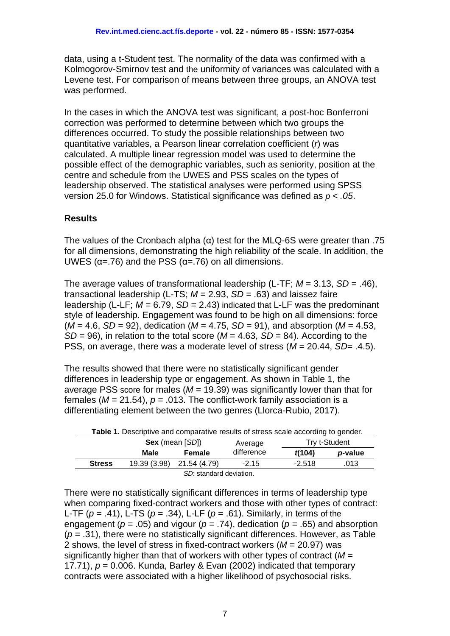data, using a t-Student test. The normality of the data was confirmed with a Kolmogorov-Smirnov test and the uniformity of variances was calculated with a Levene test. For comparison of means between three groups, an ANOVA test was performed.

In the cases in which the ANOVA test was significant, a post-hoc Bonferroni correction was performed to determine between which two groups the differences occurred. To study the possible relationships between two quantitative variables, a Pearson linear correlation coefficient (*r*) was calculated. A multiple linear regression model was used to determine the possible effect of the demographic variables, such as seniority, position at the centre and schedule from the UWES and PSS scales on the types of leadership observed. The statistical analyses were performed using SPSS version 25.0 for Windows. Statistical significance was defined as *p < .05*.

### **Results**

The values of the Cronbach alpha (α) test for the MLQ-6S were greater than .75 for all dimensions, demonstrating the high reliability of the scale. In addition, the UWES ( $\alpha$ =.76) and the PSS ( $\alpha$ =.76) on all dimensions.

The average values of transformational leadership (L-TF; *M* = 3.13, *SD* = .46), transactional leadership (L-TS; *M* = 2.93, *SD =* .63) and laissez faire leadership (L-LF; *M* = 6.79, *SD* = 2.43) indicated that L-LF was the predominant style of leadership. Engagement was found to be high on all dimensions: force  $(M = 4.6, SD = 92)$ , dedication  $(M = 4.75, SD = 91)$ , and absorption  $(M = 4.53,$ *SD* = 96), in relation to the total score (*M* = 4.63, *SD* = 84). According to the PSS, on average, there was a moderate level of stress (*M* = 20.44, *SD*= .4.5).

The results showed that there were no statistically significant gender differences in leadership type or engagement. As shown in Table 1, the average PSS score for males (*M* = 19.39) was significantly lower than that for females ( $M = 21.54$ ),  $p = .013$ . The conflict-work family association is a differentiating element between the two genres (Llorca-Rubio, 2017).

| <b>Table 1.</b> Descriptive and comparative results of stress scale according to gender. |                        |                         |            |               |                 |  |  |
|------------------------------------------------------------------------------------------|------------------------|-------------------------|------------|---------------|-----------------|--|--|
|                                                                                          | <b>Sex</b> (mean [SD]) |                         | Average    | Try t-Student |                 |  |  |
|                                                                                          | Male                   | Female                  | difference | t(104)        | <i>p</i> -value |  |  |
| <b>Stress</b>                                                                            | 19.39 (3.98)           | 21.54 (4.79)            | $-2.15$    | $-2.518$      | .013            |  |  |
|                                                                                          |                        | SD: standard deviation. |            |               |                 |  |  |

There were no statistically significant differences in terms of leadership type when comparing fixed-contract workers and those with other types of contract: L-TF (*p* = .41), L-TS (*p* = .34), L-LF (*p* = .61). Similarly, in terms of the engagement ( $p = .05$ ) and vigour ( $p = .74$ ), dedication ( $p = .65$ ) and absorption (*p* = .31), there were no statistically significant differences. However, as Table 2 shows, the level of stress in fixed-contract workers (*M* = 20.97) was significantly higher than that of workers with other types of contract (*M* = 17.71),  $p = 0.006$ . Kunda, Barley & Evan (2002) indicated that temporary contracts were associated with a higher likelihood of psychosocial risks.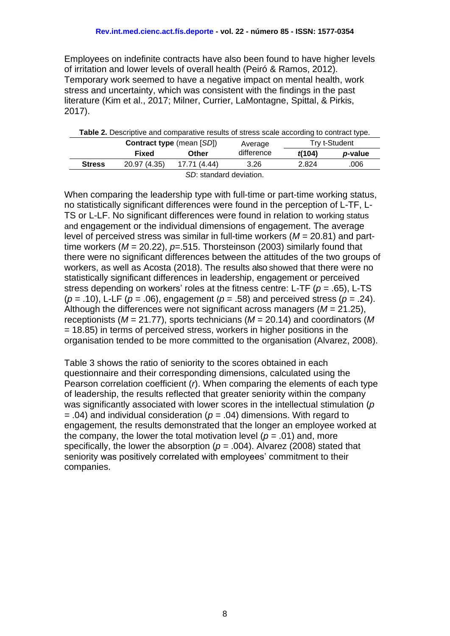Employees on indefinite contracts have also been found to have higher levels of irritation and lower levels of overall health (Peiró & Ramos, 2012). Temporary work seemed to have a negative impact on mental health, work stress and uncertainty, which was consistent with the findings in the past literature (Kim et al., 2017; Milner, Currier, LaMontagne, Spittal, & Pirkis, 2017).

| <b>Table 2.</b> Descriptive and comparative results of stress scale according to contract type. |              |                                  |            |               |                 |  |  |
|-------------------------------------------------------------------------------------------------|--------------|----------------------------------|------------|---------------|-----------------|--|--|
|                                                                                                 |              | <b>Contract type (mean [SD])</b> | Average    | Try t-Student |                 |  |  |
|                                                                                                 | Fixed        | Other                            | difference | f(104)        | <i>p</i> -value |  |  |
| <b>Stress</b>                                                                                   | 20.97 (4.35) | 17.71 (4.44)                     | 3.26       | 2.824         | .006            |  |  |
|                                                                                                 |              | SD: standard deviation.          |            |               |                 |  |  |

When comparing the leadership type with full-time or part-time working status, no statistically significant differences were found in the perception of L-TF, L-TS or L-LF. No significant differences were found in relation to working status and engagement or the individual dimensions of engagement. The average level of perceived stress was similar in full-time workers (*M* = 20.81) and parttime workers  $(M = 20.22)$ ,  $p = .515$ . Thorsteinson (2003) similarly found that there were no significant differences between the attitudes of the two groups of workers, as well as Acosta (2018). The results also showed that there were no statistically significant differences in leadership, engagement or perceived stress depending on workers' roles at the fitness centre: L-TF (*p* = .65), L-TS ( $p = .10$ ), L-LF ( $p = .06$ ), engagement ( $p = .58$ ) and perceived stress ( $p = .24$ ). Although the differences were not significant across managers (*M* = 21.25), receptionists (*M* = 21.77), sports technicians (*M* = 20.14) and coordinators (*M* = 18.85) in terms of perceived stress, workers in higher positions in the organisation tended to be more committed to the organisation (Alvarez, 2008).

Table 3 shows the ratio of seniority to the scores obtained in each questionnaire and their corresponding dimensions, calculated using the Pearson correlation coefficient (*r*). When comparing the elements of each type of leadership, the results reflected that greater seniority within the company was significantly associated with lower scores in the intellectual stimulation (*p =* .04) and individual consideration (*p =* .04) dimensions. With regard to engagement*,* the results demonstrated that the longer an employee worked at the company, the lower the total motivation level ( $p = .01$ ) and, more specifically, the lower the absorption  $(p = .004)$ . Alvarez (2008) stated that seniority was positively correlated with employees' commitment to their companies.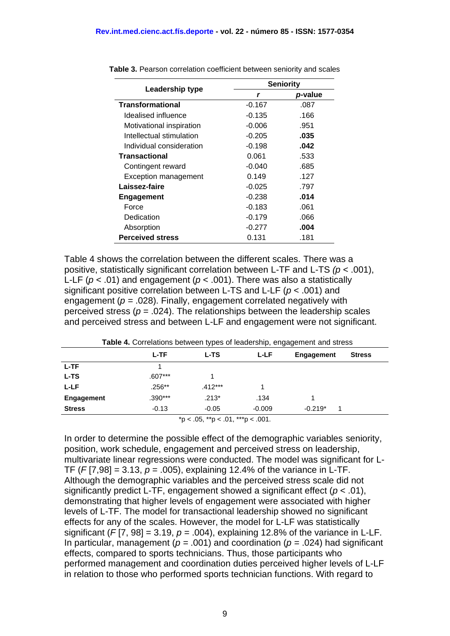|                             | <b>Seniority</b> |         |  |  |
|-----------------------------|------------------|---------|--|--|
| Leadership type             | r                | p-value |  |  |
| <b>Transformational</b>     | $-0.167$         | .087    |  |  |
| Idealised influence         | $-0.135$         | .166    |  |  |
| Motivational inspiration    | $-0.006$         | .951    |  |  |
| Intellectual stimulation    | $-0.205$         | .035    |  |  |
| Individual consideration    | $-0.198$         | .042    |  |  |
| <b>Transactional</b>        | 0.061            | .533    |  |  |
| Contingent reward           | $-0.040$         | .685    |  |  |
| <b>Exception management</b> | 0.149            | .127    |  |  |
| Laissez-faire               | $-0.025$         | .797    |  |  |
| <b>Engagement</b>           | $-0.238$         | .014    |  |  |
| Force                       | $-0.183$         | .061    |  |  |
| Dedication                  | $-0.179$         | .066    |  |  |
| Absorption                  | $-0.277$         | .004    |  |  |
| <b>Perceived stress</b>     | 0.131            | .181    |  |  |

**Table 3.** Pearson correlation coefficient between seniority and scales

Table 4 shows the correlation between the different scales. There was a positive, statistically significant correlation between L-TF and L-TS *(p* < .001), L-LF ( $p$  < .01) and engagement ( $p$  < .001). There was also a statistically significant positive correlation between L-TS and L-LF (*p* < .001) and engagement (*p =* .028). Finally, engagement correlated negatively with perceived stress ( $p = .024$ ). The relationships between the leadership scales and perceived stress and between L-LF and engagement were not significant.

| <b>Table 4.</b> Correlations between types or leadership, engagement and stress |           |              |          |            |               |  |  |  |
|---------------------------------------------------------------------------------|-----------|--------------|----------|------------|---------------|--|--|--|
|                                                                                 | L-TF      | L-LF<br>L-TS |          | Engagement | <b>Stress</b> |  |  |  |
| L-TF                                                                            |           |              |          |            |               |  |  |  |
| L-TS                                                                            | $.607***$ |              |          |            |               |  |  |  |
| L-LF                                                                            | $.256***$ | $.412***$    |          |            |               |  |  |  |
| <b>Engagement</b>                                                               | $.390***$ | $.213*$      | .134     |            |               |  |  |  |
| <b>Stress</b>                                                                   | $-0.13$   | $-0.05$      | $-0.009$ | $-0.219*$  | 1             |  |  |  |
| * $p < .05$ , ** $p < .01$ , *** $p < .001$ .                                   |           |              |          |            |               |  |  |  |

**Table 4.** Correlations between types of leadership, engagement and stress

In order to determine the possible effect of the demographic variables seniority, position, work schedule, engagement and perceived stress on leadership, multivariate linear regressions were conducted. The model was significant for L-TF (*F* [7,98] = 3.13, *p* = .005), explaining 12.4% of the variance in L-TF. Although the demographic variables and the perceived stress scale did not significantly predict L-TF, engagement showed a significant effect (*p* < .01), demonstrating that higher levels of engagement were associated with higher levels of L-TF. The model for transactional leadership showed no significant effects for any of the scales. However, the model for L-LF was statistically significant ( $F[7, 98] = 3.19$ ,  $p = .004$ ), explaining 12.8% of the variance in L-LF. In particular, management ( $p = .001$ ) and coordination ( $p = .024$ ) had significant effects, compared to sports technicians. Thus, those participants who performed management and coordination duties perceived higher levels of L-LF in relation to those who performed sports technician functions. With regard to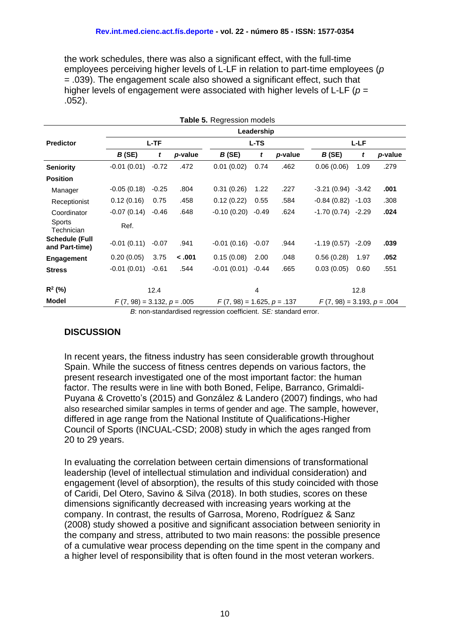the work schedules, there was also a significant effect, with the full-time employees perceiving higher levels of L-LF in relation to part-time employees (*p*  = .039). The engagement scale also showed a significant effect, such that higher levels of engagement were associated with higher levels of L-LF (*p =*  .052).

| <b>Table 5. Regression models</b>       |                              |         |         |                              |         |         |                              |         |         |
|-----------------------------------------|------------------------------|---------|---------|------------------------------|---------|---------|------------------------------|---------|---------|
|                                         | Leadership                   |         |         |                              |         |         |                              |         |         |
| <b>Predictor</b>                        | $L - TF$                     |         |         | <b>L-TS</b>                  |         |         | $L-LF$                       |         |         |
|                                         | B(SE)                        | t       | p-value | B(SE)                        | t       | p-value | B(SE)                        | t       | p-value |
| <b>Seniority</b>                        | $-0.01(0.01)$                | $-0.72$ | .472    | 0.01(0.02)                   | 0.74    | .462    | 0.06(0.06)                   | 1.09    | .279    |
| <b>Position</b>                         |                              |         |         |                              |         |         |                              |         |         |
| Manager                                 | $-0.05(0.18)$                | $-0.25$ | .804    | 0.31(0.26)                   | 1.22    | .227    | $-3.21(0.94)$                | $-3.42$ | .001    |
| Receptionist                            | 0.12(0.16)                   | 0.75    | .458    | 0.12(0.22)                   | 0.55    | .584    | $-0.84(0.82)$                | $-1.03$ | .308    |
| Coordinator                             | $-0.07(0.14)$                | $-0.46$ | .648    | $-0.10(0.20)$                | $-0.49$ | .624    | -1.70 (0.74)                 | $-2.29$ | .024    |
| <b>Sports</b><br>Technician             | Ref.                         |         |         |                              |         |         |                              |         |         |
| <b>Schedule (Full</b><br>and Part-time) | $-0.01(0.11)$                | $-0.07$ | .941    | $-0.01(0.16)$                | $-0.07$ | .944    | $-1.19(0.57)$                | $-2.09$ | .039    |
| <b>Engagement</b>                       | 0.20(0.05)                   | 3.75    | $-.001$ | 0.15(0.08)                   | 2.00    | .048    | 0.56(0.28)                   | 1.97    | .052    |
| <b>Stress</b>                           | $-0.01(0.01)$                | $-0.61$ | .544    | $-0.01(0.01)$                | $-0.44$ | .665    | 0.03(0.05)                   | 0.60    | .551    |
| $R^2$ (%)                               | 12.4                         |         |         | $\overline{4}$               |         | 12.8    |                              |         |         |
| <b>Model</b>                            | $F(7, 98) = 3.132, p = .005$ |         |         | $F(7, 98) = 1.625, p = .137$ |         |         | $F(7, 98) = 3.193, p = .004$ |         |         |

*B*: non-standardised regression coefficient. *SE:* standard error.

#### **DISCUSSION**

In recent years, the fitness industry has seen considerable growth throughout Spain. While the success of fitness centres depends on various factors, the present research investigated one of the most important factor: the human factor. The results were in line with both Boned, Felipe, Barranco, Grimaldi-Puyana & Crovetto's (2015) and González & Landero (2007) findings, who had also researched similar samples in terms of gender and age. The sample, however, differed in age range from the National Institute of Qualifications-Higher Council of Sports (INCUAL-CSD; 2008) study in which the ages ranged from 20 to 29 years.

In evaluating the correlation between certain dimensions of transformational leadership (level of intellectual stimulation and individual consideration) and engagement (level of absorption), the results of this study coincided with those of Caridi, Del Otero, Savino & Silva (2018). In both studies, scores on these dimensions significantly decreased with increasing years working at the company. In contrast, the results of Garrosa, Moreno, Rodríguez & Sanz (2008) study showed a positive and significant association between seniority in the company and stress, attributed to two main reasons: the possible presence of a cumulative wear process depending on the time spent in the company and a higher level of responsibility that is often found in the most veteran workers.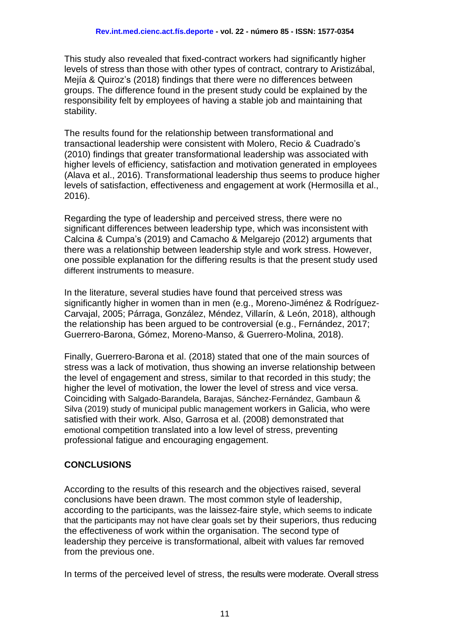This study also revealed that fixed-contract workers had significantly higher levels of stress than those with other types of contract, contrary to Aristizábal, Mejía & Quiroz's (2018) findings that there were no differences between groups. The difference found in the present study could be explained by the responsibility felt by employees of having a stable job and maintaining that stability.

The results found for the relationship between transformational and transactional leadership were consistent with Molero, Recio & Cuadrado's (2010) findings that greater transformational leadership was associated with higher levels of efficiency, satisfaction and motivation generated in employees (Alava et al., 2016). Transformational leadership thus seems to produce higher levels of satisfaction, effectiveness and engagement at work (Hermosilla et al., 2016).

Regarding the type of leadership and perceived stress, there were no significant differences between leadership type, which was inconsistent with Calcina & Cumpa's (2019) and Camacho & Melgarejo (2012) arguments that there was a relationship between leadership style and work stress. However, one possible explanation for the differing results is that the present study used different instruments to measure.

In the literature, several studies have found that perceived stress was significantly higher in women than in men (e.g., Moreno-Jiménez & Rodríguez-Carvajal, 2005; Párraga, González, Méndez, Villarín, & León, 2018), although the relationship has been argued to be controversial (e.g., Fernández, 2017; Guerrero-Barona, Gómez, Moreno-Manso, & Guerrero-Molina, 2018).

Finally, Guerrero-Barona et al. (2018) stated that one of the main sources of stress was a lack of motivation, thus showing an inverse relationship between the level of engagement and stress, similar to that recorded in this study; the higher the level of motivation, the lower the level of stress and vice versa. Coinciding with Salgado-Barandela, Barajas, Sánchez-Fernández, Gambaun & Silva (2019) study of municipal public management workers in Galicia, who were satisfied with their work. Also, Garrosa et al. (2008) demonstrated that emotional competition translated into a low level of stress, preventing professional fatigue and encouraging engagement.

## **CONCLUSIONS**

According to the results of this research and the objectives raised, several conclusions have been drawn. The most common style of leadership, according to the participants, was the laissez-faire style, which seems to indicate that the participants may not have clear goals set by their superiors, thus reducing the effectiveness of work within the organisation. The second type of leadership they perceive is transformational, albeit with values far removed from the previous one.

In terms of the perceived level of stress, the results were moderate. Overall stress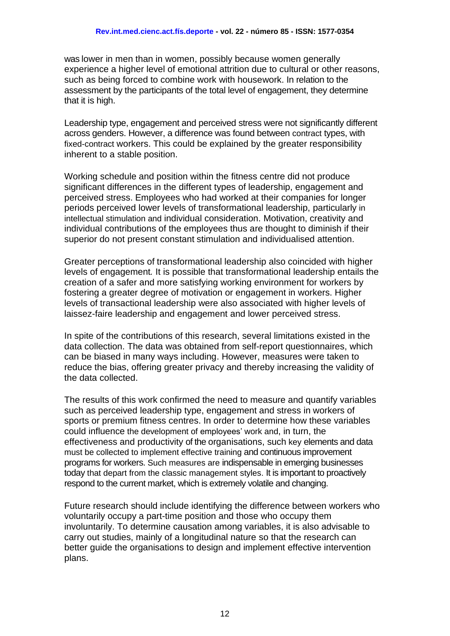was lower in men than in women, possibly because women generally experience a higher level of emotional attrition due to cultural or other reasons, such as being forced to combine work with housework. In relation to the assessment by the participants of the total level of engagement, they determine that it is high.

Leadership type, engagement and perceived stress were not significantly different across genders. However, a difference was found between contract types, with fixed-contract workers. This could be explained by the greater responsibility inherent to a stable position.

Working schedule and position within the fitness centre did not produce significant differences in the different types of leadership, engagement and perceived stress. Employees who had worked at their companies for longer periods perceived lower levels of transformational leadership, particularly in intellectual stimulation and individual consideration. Motivation, creativity and individual contributions of the employees thus are thought to diminish if their superior do not present constant stimulation and individualised attention.

Greater perceptions of transformational leadership also coincided with higher levels of engagement*.* It is possible that transformational leadership entails the creation of a safer and more satisfying working environment for workers by fostering a greater degree of motivation or engagement in workers. Higher levels of transactional leadership were also associated with higher levels of laissez-faire leadership and engagement and lower perceived stress.

In spite of the contributions of this research, several limitations existed in the data collection. The data was obtained from self-report questionnaires, which can be biased in many ways including. However, measures were taken to reduce the bias, offering greater privacy and thereby increasing the validity of the data collected.

The results of this work confirmed the need to measure and quantify variables such as perceived leadership type, engagement and stress in workers of sports or premium fitness centres. In order to determine how these variables could influence the development of employees' work and, in turn, the effectiveness and productivity of the organisations, such key elements and data must be collected to implement effective training and continuous improvement programs for workers. Such measures are indispensable in emerging businesses today that depart from the classic management styles. It is important to proactively respond to the current market, which is extremely volatile and changing.

Future research should include identifying the difference between workers who voluntarily occupy a part-time position and those who occupy them involuntarily. To determine causation among variables, it is also advisable to carry out studies, mainly of a longitudinal nature so that the research can better guide the organisations to design and implement effective intervention plans.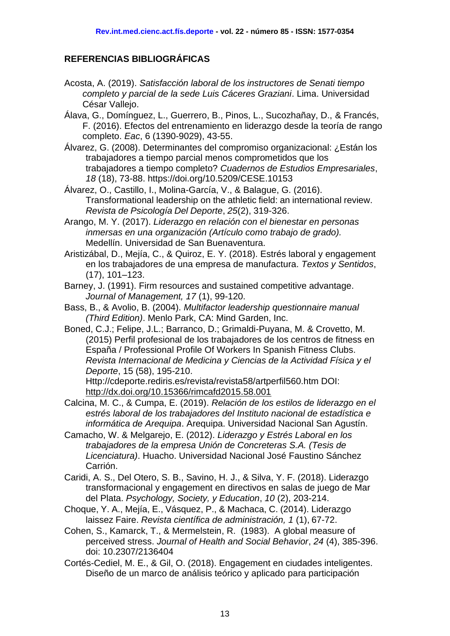### **REFERENCIAS BIBLIOGRÁFICAS**

- Acosta, A. (2019). *Satisfacción laboral de los instructores de Senati tiempo completo y parcial de la sede Luis Cáceres Graziani*. Lima. Universidad César Vallejo.
- Álava, G., Domínguez, L., Guerrero, B., Pinos, L., Sucozhañay, D., & Francés, F. (2016). Efectos del entrenamiento en liderazgo desde la teoría de rango completo. *Eac*, 6 (1390-9029), 43-55.
- Álvarez, G. (2008). Determinantes del compromiso organizacional: ¿Están los trabajadores a tiempo parcial menos comprometidos que los trabajadores a tiempo completo? *Cuadernos de Estudios Empresariales*, *18* (18), 73-88. https://doi.org/10.5209/CESE.10153
- Álvarez, O., Castillo, I., Molina-García, V., & Balague, G. (2016). Transformational leadership on the athletic field: an international review. *Revista de Psicología Del Deporte*, *25*(2), 319-326.
- Arango, M. Y. (2017). *Liderazgo en relación con el bienestar en personas inmersas en una organización (Artículo como trabajo de grado).*  Medellín. Universidad de San Buenaventura.
- Aristizábal, D., Mejía, C., & Quiroz, E. Y. (2018). Estrés laboral y engagement en los trabajadores de una empresa de manufactura. *Textos y Sentidos*, (17), 101–123.
- Barney, J. (1991). Firm resources and sustained competitive advantage. *Journal of Management, 17* (1), 99-120.
- Bass, B., & Avolio, B. (2004). *Multifactor leadership questionnaire manual (Third Edition)*. Menlo Park, CA: Mind Garden, Inc.
- Boned, C.J.; Felipe, J.L.; Barranco, D.; Grimaldi-Puyana, M. & Crovetto, M. (2015) Perfil profesional de los trabajadores de los centros de fitness en España / Professional Profile Of Workers In Spanish Fitness Clubs. *Revista Internacional de Medicina y Ciencias de la Actividad Física y el Deporte*, 15 (58), 195-210.

Http://cdeporte.rediris.es/revista/revista58/artperfil560.htm DOI: <http://dx.doi.org/10.15366/rimcafd2015.58.001>

- Calcina, M. C., & Cumpa, E. (2019). *Relación de los estilos de liderazgo en el estrés laboral de los trabajadores del Instituto nacional de estadística e informática de Arequipa*. Arequipa. Universidad Nacional San Agustín.
- Camacho, W. & Melgarejo, E. (2012). *Liderazgo y Estrés Laboral en los trabajadores de la empresa Unión de Concreteras S.A. (Tesis de Licenciatura)*. Huacho. Universidad Nacional José Faustino Sánchez Carrión.
- Caridi, A. S., Del Otero, S. B., Savino, H. J., & Silva, Y. F. (2018). Liderazgo transformacional y engagement en directivos en salas de juego de Mar del Plata. *Psychology, Society, y Education*, *10* (2), 203-214.
- Choque, Y. A., Mejía, E., Vásquez, P., & Machaca, C. (2014). Liderazgo laissez Faire. *Revista científica de administración, 1* (1), 67-72.
- Cohen, S., Kamarck, T., & Mermelstein, R. (1983). A global measure of perceived stress. *Journal of Health and Social Behavior*, *24* (4), 385-396. doi: 10.2307/2136404
- Cortés-Cediel, M. E., & Gil, O. (2018). Engagement en ciudades inteligentes. Diseño de un marco de análisis teórico y aplicado para participación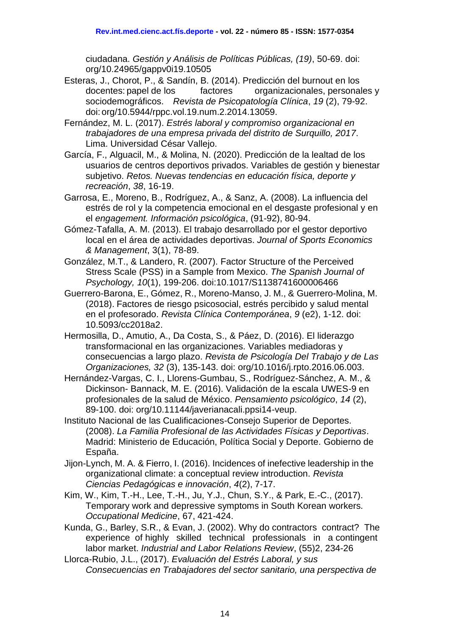ciudadana. *Gestión y Análisis de Políticas Públicas, (19)*, 50-69. doi: org/10.24965/gappv0i19.10505

- Esteras, J., Chorot, P., & Sandín, B. (2014). Predicción del burnout en los docentes: papel de los factores organizacionales, personales y sociodemográficos. *Revista de Psicopatología Clínica*, *19* (2), 79-92. doi: org/10.5944/rppc.vol.19.num.2.2014.13059.
- Fernández, M. L. (2017). *Estrés laboral y compromiso organizacional en trabajadores de una empresa privada del distrito de Surquillo, 2017*. Lima. Universidad César Vallejo.
- García, F., Alguacil, M., & Molina, N. (2020). Predicción de la lealtad de los usuarios de centros deportivos privados. Variables de gestión y bienestar subjetivo. *Retos. Nuevas tendencias en educación física, deporte y recreación*, *38*, 16-19.
- Garrosa, E., Moreno, B., Rodríguez, A., & Sanz, A. (2008). La influencia del estrés de rol y la competencia emocional en el desgaste profesional y en el *engagement. Información psicológica*, (91-92), 80-94.
- Gómez-Tafalla, A. M. (2013). El trabajo desarrollado por el gestor deportivo local en el área de actividades deportivas. *Journal of Sports Economics & Management*, 3(1), 78-89.
- González, M.T., & Landero, R. (2007). Factor Structure of the Perceived Stress Scale (PSS) in a Sample from Mexico. *The Spanish Journal of Psychology, 10*(1), 199-206. doi:10.1017/S1138741600006466
- Guerrero-Barona, E., Gómez, R., Moreno-Manso, J. M., & Guerrero-Molina, M. (2018). Factores de riesgo psicosocial, estrés percibido y salud mental en el profesorado. *Revista Clínica Contemporánea*, *9* (e2), 1-12. doi: 10.5093/cc2018a2.
- Hermosilla, D., Amutio, A., Da Costa, S., & Páez, D. (2016). El liderazgo transformacional en las organizaciones. Variables mediadoras y consecuencias a largo plazo. *Revista de Psicología Del Trabajo y de Las Organizaciones, 32* (3), 135-143. doi: org/10.1016/j.rpto.2016.06.003.
- Hernández-Vargas, C. I., Llorens-Gumbau, S., Rodríguez-Sánchez, A. M., & Dickinson- Bannack, M. E. (2016). Validación de la escala UWES-9 en profesionales de la salud de México. *Pensamiento psicológico*, *14* (2), 89-100. doi: org/10.11144/javerianacali.ppsi14-veup.
- Instituto Nacional de las Cualificaciones-Consejo Superior de Deportes. (2008). *La Familia Profesional de las Actividades Físicas y Deportivas*. Madrid: Ministerio de Educación, Política Social y Deporte. Gobierno de España.
- Jijon-Lynch, M. A. & Fierro, I. (2016). Incidences of inefective leadership in the organizational climate: a conceptual review introduction. *Revista Ciencias Pedagógicas e innovación*, *4*(2), 7-17.
- Kim, W., Kim, T.-H., Lee, T.-H., Ju, Y.J., Chun, S.Y., & Park, E.-C., (2017). Temporary work and depressive symptoms in South Korean workers. *Occupational Medicine*, 67, 421-424.
- Kunda, G., Barley, S.R., & Evan, J. (2002). Why do contractors contract? The experience of highly skilled technical professionals in a contingent labor market. *Industrial and Labor Relations Review*, (55)2, 234-26
- Llorca-Rubio, J.L., (2017). *Evaluación del Estrés Laboral, y sus Consecuencias en Trabajadores del sector sanitario, una perspectiva de*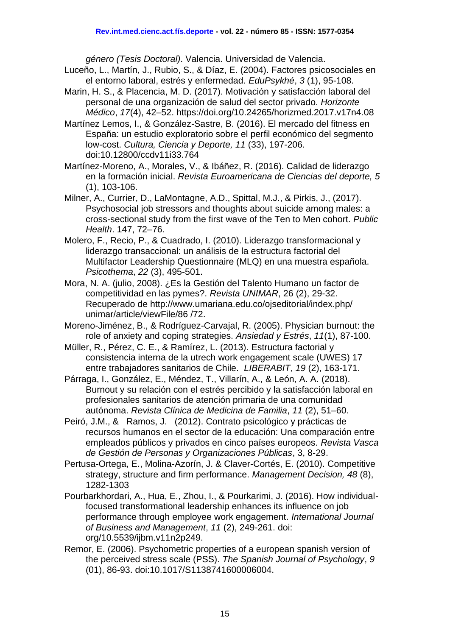*género (Tesis Doctoral)*. Valencia. Universidad de Valencia.

- Luceño, L., Martín, J., Rubio, S., & Díaz, E. (2004). Factores psicosociales en el entorno laboral, estrés y enfermedad. *EduPsykhé*, *3* (1), 95-108.
- Marin, H. S., & Placencia, M. D. (2017). Motivación y satisfacción laboral del personal de una organización de salud del sector privado. *Horizonte Médico*, *17*(4), 42–52. https://doi.org/10.24265/horizmed.2017.v17n4.08
- Martínez Lemos, I., & González-Sastre, B. (2016). El mercado del fitness en España: un estudio exploratorio sobre el perfil económico del segmento low-cost. *Cultura, Ciencia y Deporte, 11* (33), 197-206. doi:10.12800/ccdv11i33.764
- Martínez-Moreno, A., Morales, V., & Ibáñez, R. (2016). Calidad de liderazgo en la formación inicial. *Revista Euroamericana de Ciencias del deporte, 5*  (1), 103-106.
- Milner, A., Currier, D., LaMontagne, A.D., Spittal, M.J., & Pirkis, J., (2017). Psychosocial job stressors and thoughts about suicide among males: a cross-sectional study from the first wave of the Ten to Men cohort. *Public Health*. 147, 72–76.
- Molero, F., Recio, P., & Cuadrado, I. (2010). Liderazgo transformacional y liderazgo transaccional: un análisis de la estructura factorial del Multifactor Leadership Questionnaire (MLQ) en una muestra española. *Psicothema*, *22* (3), 495-501.
- Mora, N. A. (julio, 2008). ¿Es la Gestión del Talento Humano un factor de competitividad en las pymes?. *Revista UNIMAR*, 26 (2), 29-32. Recuperado de http://www.umariana.edu.co/ojseditorial/index.php/ unimar/article/viewFile/86 /72.
- Moreno-Jiménez, B., & Rodríguez-Carvajal, R. (2005). Physician burnout: the role of anxiety and coping strategies. *Ansiedad y Estrés*, *11*(1), 87-100.
- Müller, R., Pérez, C. E., & Ramírez, L. (2013). Estructura factorial y consistencia interna de la utrech work engagement scale (UWES) 17 entre trabajadores sanitarios de Chile. *LIBERABIT*, *19* (2), 163-171.
- Párraga, I., González, E., Méndez, T., Villarín, A., & León, A. A. (2018). Burnout y su relación con el estrés percibido y la satisfacción laboral en profesionales sanitarios de atención primaria de una comunidad autónoma. *Revista Clínica de Medicina de Familia*, *11* (2), 51–60.
- Peiró, J.M., & Ramos, J. (2012). Contrato psicológico y prácticas de recursos humanos en el sector de la educación: Una comparación entre empleados públicos y privados en cinco países europeos. *Revista Vasca de Gestión de Personas y Organizaciones Públicas*, 3, 8-29.
- Pertusa-Ortega, E., Molina-Azorín, J. & Claver-Cortés, E. (2010). Competitive strategy, structure and firm performance. *Management Decision, 48* (8), 1282-1303
- Pourbarkhordari, A., Hua, E., Zhou, I., & Pourkarimi, J. (2016). How individualfocused transformational leadership enhances its influence on job performance through employee work engagement. *International Journal of Business and Management*, *11* (2), 249-261. doi: org/10.5539/ijbm.v11n2p249.
- Remor, E. (2006). Psychometric properties of a european spanish version of the perceived stress scale (PSS). *The Spanish Journal of Psychology*, *9*  (01), 86-93. doi:10.1017/S1138741600006004.